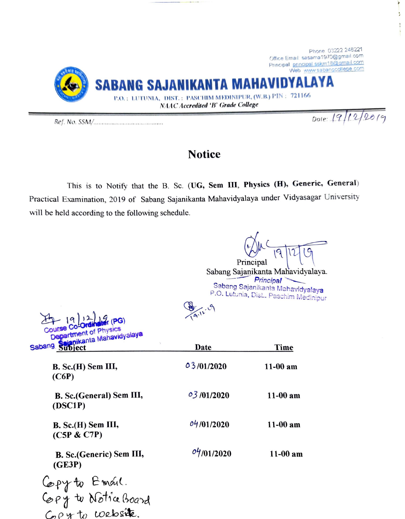

## **Notice**

This is to Notify that the B. Sc. (UG, Sem III, Physics (H), Generic, General) Practical Examination, 2019 of Sabang Sajanikanta Mahavidyalaya under Vidyasagar University will be held according to the following schedule.

Principal

Ŋ

Sabang Sajanikanta Mahavidyalaya. Principal Sabang Sajanikanta Mahavidyalaya P.O. Lutunia, Dist., Paschim Medinipur

 $9.11.9$ 

| Course Co-Ordinator (PG)<br>Department of Physics | (9.12)      |            |
|---------------------------------------------------|-------------|------------|
| Sabang Sajanikanta Mahavidyalaya                  | Date        | Time       |
| $B.$ Sc. $(H)$ Sem III,<br>(C6P)                  | 0.3/01/2020 | $11-00$ am |
| <b>B. Sc.</b> (General) Sem III,<br>(DSC1P)       | 03/01/2020  | $11-00$ am |
| $B.$ Sc. $(H)$ Sem III,<br>(C5P & C7P)            | 04/01/2020  | $11-00$ am |
| B. Sc.(Generic) Sem III,<br>(GE3P)                | 04/01/2020  | $11-00$ am |
| Copy to Emoul.                                    |             |            |

Copy to Notra Board C-04 to webside.